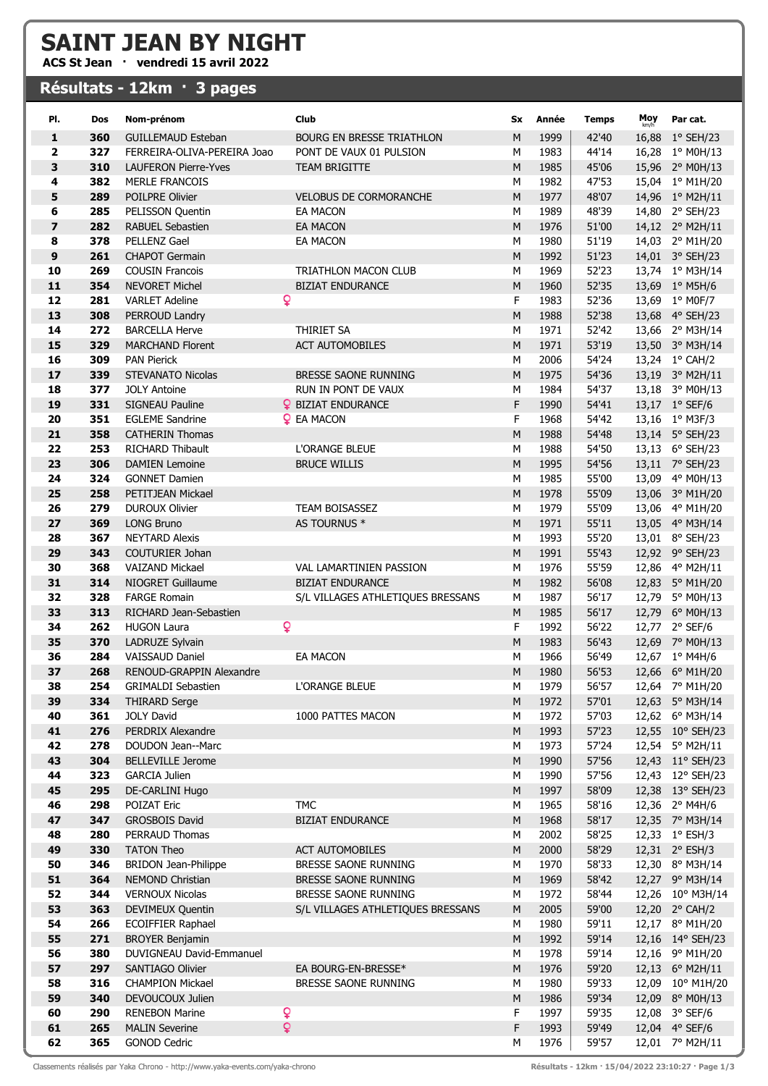## SAINT JEAN BY NIGHT

ACS St Jean · vendredi 15 avril 2022

## Résultats - 12km · 3 pages

| PI.                     | Dos        | Nom-prénom                                   | Club                              | Sx             | Année        | <b>Temps</b>   | Moy | Par cat.                          |
|-------------------------|------------|----------------------------------------------|-----------------------------------|----------------|--------------|----------------|-----|-----------------------------------|
| 1                       | 360        | <b>GUILLEMAUD Esteban</b>                    | <b>BOURG EN BRESSE TRIATHLON</b>  | M              | 1999         | 42'40          |     | 16,88 1° SEH/23                   |
| 2                       | 327        | FERREIRA-OLIVA-PEREIRA Joao                  | PONT DE VAUX 01 PULSION           | M              | 1983         | 44'14          |     | 16,28 1° M0H/13                   |
| 3                       | 310        | <b>LAUFERON Pierre-Yves</b>                  | <b>TEAM BRIGITTE</b>              | M              | 1985         | 45'06          |     | 15,96 2° M0H/13                   |
| 4                       | 382        | <b>MERLE FRANCOIS</b>                        |                                   | M              | 1982         | 47'53          |     | 15,04 1° M1H/20                   |
| 5                       | 289        | POILPRE Olivier                              | <b>VELOBUS DE CORMORANCHE</b>     | M              | 1977         | 48'07          |     | 14,96 1° M2H/11                   |
| 6                       | 285        | PELISSON Quentin                             | <b>EA MACON</b>                   | M              | 1989         | 48'39          |     | 14,80 2° SEH/23                   |
| $\overline{\mathbf{z}}$ | 282        | <b>RABUEL Sebastien</b>                      | <b>EA MACON</b>                   | ${\sf M}$      | 1976         | 51'00          |     | 14,12 2° M2H/11                   |
| 8                       | 378        | PELLENZ Gael                                 | EA MACON                          | M              | 1980         | 51'19          |     | 14,03 2° M1H/20                   |
| 9                       | 261        | <b>CHAPOT Germain</b>                        |                                   | M              | 1992         | 51'23          |     | 14,01 3° SEH/23                   |
| 10                      | 269        | <b>COUSIN Francois</b>                       | <b>TRIATHLON MACON CLUB</b>       | M              | 1969         | 52'23          |     | 13,74 1° M3H/14                   |
| 11                      | 354        | <b>NEVORET Michel</b>                        | <b>BIZIAT ENDURANCE</b>           | M              | 1960         | 52'35          |     | 13,69 1° M5H/6                    |
| 12                      | 281        | <b>VARLET Adeline</b>                        | Q                                 | F              | 1983         | 52'36          |     | 13,69 1° M0F/7                    |
| 13                      | 308        | PERROUD Landry                               |                                   | ${\sf M}$      | 1988         | 52'38          |     | 13,68 4° SEH/23                   |
| 14                      | 272        | <b>BARCELLA Herve</b>                        | THIRIET SA                        | M              | 1971         | 52'42          |     | 13,66 2° M3H/14                   |
| 15                      | 329        | <b>MARCHAND Florent</b>                      | <b>ACT AUTOMOBILES</b>            | M              | 1971         | 53'19          |     | 13,50 3° M3H/14                   |
| 16                      | 309        | <b>PAN Pierick</b>                           |                                   | M              | 2006         | 54'24          |     | 13,24 1° CAH/2                    |
| 17                      | 339        | <b>STEVANATO Nicolas</b>                     | BRESSE SAONE RUNNING              | ${\sf M}$      | 1975         | 54'36          |     | 13,19 3° M2H/11                   |
| 18                      | 377        | <b>JOLY Antoine</b>                          | RUN IN PONT DE VAUX               | M              | 1984         | 54'37          |     | 13,18 3° M0H/13                   |
| 19                      | 331        | SIGNEAU Pauline                              | <b>Q</b> BIZIAT ENDURANCE         | F              | 1990         | 54'41          |     | 13,17 1° SEF/6                    |
| 20                      | 351        | <b>EGLEME Sandrine</b>                       | <b>Q</b> EA MACON                 | F              | 1968         | 54'42          |     | 13,16 1° M3F/3                    |
| 21                      | 358        | <b>CATHERIN Thomas</b>                       |                                   | M              | 1988         | 54'48          |     | 13,14 5° SEH/23                   |
| 22                      | 253        | <b>RICHARD Thibault</b>                      | <b>L'ORANGE BLEUE</b>             | M              | 1988         | 54'50          |     | 13,13 6° SEH/23                   |
| 23                      | 306        | <b>DAMIEN Lemoine</b>                        | <b>BRUCE WILLIS</b>               | M              | 1995         | 54'56          |     | 13,11 7° SEH/23                   |
| 24                      | 324        | <b>GONNET Damien</b>                         |                                   | М              | 1985         | 55'00          |     | 13,09 4° M0H/13                   |
| 25                      | 258        | PETITJEAN Mickael                            |                                   | M              | 1978         | 55'09          |     | 13,06 3° M1H/20                   |
| 26                      | 279        | <b>DUROUX Olivier</b>                        | TEAM BOISASSEZ                    | М              | 1979         | 55'09          |     | 13,06 4° M1H/20                   |
| 27                      | 369        | <b>LONG Bruno</b>                            | AS TOURNUS *                      | M              | 1971         | 55'11          |     | 13,05 4° M3H/14                   |
| 28                      | 367        | <b>NEYTARD Alexis</b>                        |                                   | M              | 1993         | 55'20          |     | 13,01 8° SEH/23                   |
| 29                      | 343        | COUTURIER Johan                              |                                   | M              | 1991         | 55'43          |     | 12,92 9° SEH/23                   |
| 30                      | 368        | <b>VAIZAND Mickael</b>                       | VAL LAMARTINIEN PASSION           | M              | 1976         | 55'59          |     | 12,86 4° M2H/11                   |
| 31                      | 314        | NIOGRET Guillaume                            | <b>BIZIAT ENDURANCE</b>           | M              | 1982         | 56'08          |     | 12,83 5° M1H/20                   |
| 32                      | 328        | <b>FARGE Romain</b>                          | S/L VILLAGES ATHLETIQUES BRESSANS | M              | 1987         | 56'17          |     | 12,79 5° M0H/13                   |
| 33                      | 313        | RICHARD Jean-Sebastien<br><b>HUGON Laura</b> |                                   | M              | 1985         | 56'17          |     | 12,79 6° M0H/13                   |
| 34<br>35                | 262<br>370 |                                              | Q                                 | F<br>${\sf M}$ | 1992         | 56'22          |     | 12,77 2° SEF/6                    |
| 36                      | 284        | LADRUZE Sylvain<br><b>VAISSAUD Daniel</b>    | <b>EA MACON</b>                   | M              | 1983<br>1966 | 56'43<br>56'49 |     | 12,69 7° M0H/13<br>12,67 1° M4H/6 |
| 37                      | 268        | <b>RENOUD-GRAPPIN Alexandre</b>              |                                   | ${\sf M}$      | 1980         | 56'53          |     | 12,66 6° M1H/20                   |
| 38                      | 254        | <b>GRIMALDI Sebastien</b>                    | L'ORANGE BLEUE                    | м              | 1979         | 56'57          |     | 12,64 7° M1H/20                   |
| 39                      | 334        | <b>THIRARD Serge</b>                         |                                   | M              | 1972         | 57'01          |     | 12,63 5° M3H/14                   |
| 40                      | 361        | <b>JOLY David</b>                            | 1000 PATTES MACON                 | М              | 1972         | 57'03          |     | 12,62 6° M3H/14                   |
| 41                      | 276        | PERDRIX Alexandre                            |                                   | M              | 1993         | 57'23          |     | 12,55 10° SEH/23                  |
| 42                      | 278        | <b>DOUDON Jean--Marc</b>                     |                                   | M              | 1973         | 57'24          |     | 12,54 5° M2H/11                   |
| 43                      | 304        | <b>BELLEVILLE Jerome</b>                     |                                   | M              | 1990         | 57'56          |     | 12,43 11° SEH/23                  |
| 44                      | 323        | <b>GARCIA Julien</b>                         |                                   | M              | 1990         | 57'56          |     | 12,43 12° SEH/23                  |
| 45                      | 295        | DE-CARLINI Hugo                              |                                   | M              | 1997         | 58'09          |     | 12,38 13° SEH/23                  |
| 46                      | 298        | POIZAT Eric                                  | <b>TMC</b>                        | M              | 1965         | 58'16          |     | 12,36 2° M4H/6                    |
| 47                      | 347        | <b>GROSBOIS David</b>                        | <b>BIZIAT ENDURANCE</b>           | ${\sf M}$      | 1968         | 58'17          |     | 12,35 7° M3H/14                   |
| 48                      | 280        | PERRAUD Thomas                               |                                   | M              | 2002         | 58'25          |     | 12,33 1° ESH/3                    |
| 49                      | 330        | <b>TATON Theo</b>                            | <b>ACT AUTOMOBILES</b>            | M              | 2000         | 58'29          |     | 12,31 2° ESH/3                    |
| 50                      | 346        | <b>BRIDON Jean-Philippe</b>                  | BRESSE SAONE RUNNING              | М              | 1970         | 58'33          |     | 12,30 8° M3H/14                   |
| 51                      | 364        | NEMOND Christian                             | BRESSE SAONE RUNNING              | M              | 1969         | 58'42          |     | 12,27 9° M3H/14                   |
| 52                      | 344        | <b>VERNOUX Nicolas</b>                       | BRESSE SAONE RUNNING              | М              | 1972         | 58'44          |     | 12,26 10° M3H/14                  |
| 53                      | 363        | DEVIMEUX Quentin                             | S/L VILLAGES ATHLETIQUES BRESSANS | M              | 2005         | 59'00          |     | 12,20 2° CAH/2                    |
| 54                      | 266        | <b>ECOIFFIER Raphael</b>                     |                                   | M              | 1980         | 59'11          |     | 12,17 8° M1H/20                   |
| 55                      | 271        | <b>BROYER Benjamin</b>                       |                                   | M              | 1992         | 59'14          |     | 12,16 14° SEH/23                  |
| 56                      | 380        | DUVIGNEAU David-Emmanuel                     |                                   | М              | 1978         | 59'14          |     | 12,16 9° M1H/20                   |
| 57                      | 297        | SANTIAGO Olivier                             | EA BOURG-EN-BRESSE*               | M              | 1976         | 59'20          |     | 12,13 6° M2H/11                   |
| 58                      | 316        | <b>CHAMPION Mickael</b>                      | BRESSE SAONE RUNNING              | М              | 1980         | 59'33          |     | 12,09 10° M1H/20                  |
| 59                      | 340        | DEVOUCOUX Julien                             |                                   | ${\sf M}$      | 1986         | 59'34          |     | 12,09 8° M0H/13                   |
| 60                      | 290        | <b>RENEBON Marine</b>                        | ò                                 | F              | 1997         | 59'35          |     | 12,08 3° SEF/6                    |
| 61                      | 265        | <b>MALIN Severine</b>                        | ò                                 | F              | 1993         | 59'49          |     | 12,04 4° SEF/6                    |
| 62                      | 365        | <b>GONOD Cedric</b>                          |                                   | М              | 1976         | 59'57          |     | 12,01 7° M2H/11                   |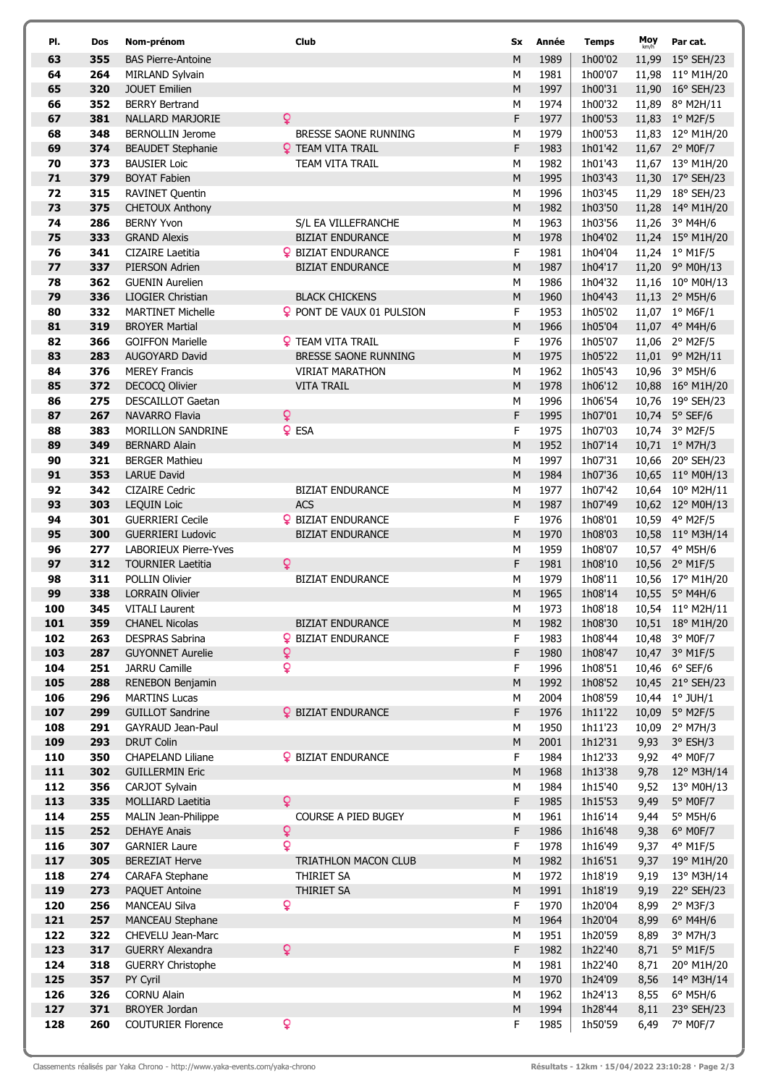| PI.        | <b>Dos</b> | Nom-prénom                                    | Club                                  | Sx     | Année        | <b>Temps</b>       | Moy<br>km/h  | Par cat.                           |
|------------|------------|-----------------------------------------------|---------------------------------------|--------|--------------|--------------------|--------------|------------------------------------|
| 63         | 355        | <b>BAS Pierre-Antoine</b>                     |                                       | M      | 1989         | 1h00'02            | 11,99        | 15° SEH/23                         |
| 64         | 264        | MIRLAND Sylvain                               |                                       | M      | 1981         | 1h00'07            |              | 11,98 11° M1H/20                   |
| 65         | 320        | <b>JOUET Emilien</b>                          |                                       | M      | 1997         | 1h00'31            |              | 11,90 16° SEH/23                   |
| 66         | 352        | <b>BERRY Bertrand</b>                         |                                       | M      | 1974         | 1h00'32            |              | 11,89 8° M2H/11                    |
| 67         | 381        | NALLARD MARJORIE                              | Q                                     | F      | 1977         | 1h00'53            |              | 11,83 1° M2F/5                     |
| 68         | 348        | <b>BERNOLLIN Jerome</b>                       | BRESSE SAONE RUNNING                  | M      | 1979         | 1h00'53            |              | 11,83 12° M1H/20                   |
| 69         | 374        | <b>BEAUDET Stephanie</b>                      | <b>Q</b> TEAM VITA TRAIL              | F      | 1983         | 1h01'42            |              | 11,67 2° M0F/7                     |
| 70         | 373        | <b>BAUSIER Loic</b>                           | TEAM VITA TRAIL                       | M      | 1982         | 1h01'43            |              | 11,67 13° M1H/20                   |
| 71         | 379        | <b>BOYAT Fabien</b>                           |                                       | M      | 1995         | 1h03'43            |              | 11,30 17° SEH/23                   |
| 72         | 315        | <b>RAVINET Quentin</b>                        |                                       | М      | 1996         | 1h03'45            |              | 11,29 18° SEH/23                   |
| 73<br>74   | 375<br>286 | <b>CHETOUX Anthony</b><br><b>BERNY Yvon</b>   | S/L EA VILLEFRANCHE                   | M<br>М | 1982<br>1963 | 1h03'50<br>1h03'56 |              | 11,28 14° M1H/20<br>11,26 3° M4H/6 |
| 75         | 333        | <b>GRAND Alexis</b>                           | <b>BIZIAT ENDURANCE</b>               | M      | 1978         | 1h04'02            |              | 11,24 15° M1H/20                   |
| 76         | 341        | <b>CIZAIRE Laetitia</b>                       | <b>Q</b> BIZIAT ENDURANCE             | F      | 1981         | 1h04'04            |              | 11,24 1° M1F/5                     |
| 77         | 337        | PIERSON Adrien                                | <b>BIZIAT ENDURANCE</b>               | M      | 1987         | 1h04'17            |              | 11,20 9° M0H/13                    |
| 78         | 362        | <b>GUENIN Aurelien</b>                        |                                       | M      | 1986         | 1h04'32            |              | 11,16 10° M0H/13                   |
| 79         | 336        | <b>LIOGIER Christian</b>                      | <b>BLACK CHICKENS</b>                 | M      | 1960         | 1h04'43            |              | 11,13 2° M5H/6                     |
| 80         | 332        | <b>MARTINET Michelle</b>                      | <b>Q</b> PONT DE VAUX 01 PULSION      | F      | 1953         | 1h05'02            |              | 11,07 1° M6F/1                     |
| 81         | 319        | <b>BROYER Martial</b>                         |                                       | M      | 1966         | 1h05'04            |              | 11,07 4° M4H/6                     |
| 82         | 366        | <b>GOIFFON Marielle</b>                       | <b>Q</b> TEAM VITA TRAIL              | F      | 1976         | 1h05'07            |              | 11,06 2° M2F/5                     |
| 83         | 283        | AUGOYARD David                                | BRESSE SAONE RUNNING                  | M      | 1975         | 1h05'22            |              | 11,01 9° M2H/11                    |
| 84         | 376        | <b>MEREY Francis</b>                          | <b>VIRIAT MARATHON</b>                | М      | 1962         | 1h05'43            |              | 10,96 3° M5H/6                     |
| 85         | 372        | DECOCQ Olivier                                | <b>VITA TRAIL</b>                     | M      | 1978         | 1h06'12            |              | 10,88 16° M1H/20                   |
| 86         | 275        | <b>DESCAILLOT Gaetan</b>                      |                                       | М      | 1996         | 1h06'54            |              | 10,76 19° SEH/23                   |
| 87         | 267        | NAVARRO Flavia                                | Q                                     | F      | 1995         | 1h07'01            |              | 10,74 5° SEF/6                     |
| 88         | 383        | MORILLON SANDRINE                             | <b>Q</b> ESA                          | F      | 1975         | 1h07'03            |              | 10,74 3° M2F/5                     |
| 89         | 349        | <b>BERNARD Alain</b>                          |                                       | M      | 1952         | 1h07'14            |              | 10,71 1° M7H/3                     |
| 90         | 321        | <b>BERGER Mathieu</b>                         |                                       | M      | 1997         | 1h07'31            |              | 10,66 20° SEH/23                   |
| 91         | 353        | <b>LARUE David</b>                            |                                       | M      | 1984         | 1h07'36            |              | 10,65 11° M0H/13                   |
| 92<br>93   | 342<br>303 | <b>CIZAIRE Cedric</b>                         | <b>BIZIAT ENDURANCE</b><br><b>ACS</b> | M<br>M | 1977<br>1987 | 1h07'42<br>1h07'49 |              | 10,64 10° M2H/11                   |
| 94         | 301        | <b>LEQUIN Loic</b><br><b>GUERRIERI Cecile</b> | <b>Q</b> BIZIAT ENDURANCE             | F      | 1976         | 1h08'01            | 10,59        | 10,62 12° M0H/13<br>4° M2F/5       |
| 95         | 300        | <b>GUERRIERI Ludovic</b>                      | <b>BIZIAT ENDURANCE</b>               | M      | 1970         | 1h08'03            |              | 10,58 11° M3H/14                   |
| 96         | 277        | LABORIEUX Pierre-Yves                         |                                       | М      | 1959         | 1h08'07            |              | 10,57 4° M5H/6                     |
| 97         | 312        | <b>TOURNIER Laetitia</b>                      | ò                                     | F      | 1981         | 1h08'10            |              | 10,56 2° M1F/5                     |
| 98         | 311        | <b>POLLIN Olivier</b>                         | <b>BIZIAT ENDURANCE</b>               | M      | 1979         | 1h08'11            |              | 10,56 17° M1H/20                   |
| 99         | 338        | <b>LORRAIN Olivier</b>                        |                                       | M      | 1965         | 1h08'14            |              | 10,55 5° M4H/6                     |
| 100        | 345        | <b>VITALI Laurent</b>                         |                                       | M      | 1973         | 1h08'18            |              | 10,54 11° M2H/11                   |
| 101        | 359        | <b>CHANEL Nicolas</b>                         | <b>BIZIAT ENDURANCE</b>               | M      | 1982         | 1h08'30            |              | 10,51 18° M1H/20                   |
| 102        | 263        | <b>DESPRAS Sabrina</b>                        | <b>Q</b> BIZIAT ENDURANCE             | F      | 1983         | 1h08'44            |              | 10,48 3° M0F/7                     |
| 103        | 287        | <b>GUYONNET Aurelie</b>                       | ¥                                     | F      | 1980         | 1h08'47            |              | 10,47 3° M1F/5                     |
| 104        | 251        | JARRU Camille                                 | ò                                     | F      | 1996         | 1h08'51            |              | 10,46 6° SEF/6                     |
| 105        | 288        | RENEBON Benjamin                              |                                       | M      | 1992         | 1h08'52            |              | 10,45 21° SEH/23                   |
| 106        | 296        | <b>MARTINS Lucas</b>                          |                                       | M      | 2004         | 1h08'59            |              | 10,44 1° JUH/1                     |
| 107        | 299        | <b>GUILLOT Sandrine</b>                       | <b>Q</b> BIZIAT ENDURANCE             | F      | 1976         | 1h11'22            | 10,09        | $5^\circ$ M2F/5                    |
| 108        | 291        | <b>GAYRAUD Jean-Paul</b>                      |                                       | М      | 1950         | 1h11'23            | 10,09        | 2° M7H/3                           |
| 109<br>110 | 293<br>350 | <b>DRUT Colin</b><br>CHAPELAND Liliane        | <b>Q</b> BIZIAT ENDURANCE             | M<br>F | 2001<br>1984 | 1h12'31<br>1h12'33 | 9,93<br>9,92 | $3°$ ESH/3<br>4° M0F/7             |
| 111        | 302        | <b>GUILLERMIN Eric</b>                        |                                       | M      | 1968         | 1h13'38            | 9,78         | $12^{\circ}$ M3H/14                |
| 112        | 356        | CARJOT Sylvain                                |                                       | M      | 1984         | 1h15'40            | 9,52         | 13° M0H/13                         |
| 113        | 335        | MOLLIARD Laetitia                             | $\mathsf{Q}$                          | F      | 1985         | 1h15'53            | 9,49         | 5° M0F/7                           |
| 114        | 255        | MALIN Jean-Philippe                           | COURSE A PIED BUGEY                   | M      | 1961         | 1h16'14            | 9,44         | $5^\circ$ M5H/6                    |
| 115        | 252        | <b>DEHAYE Anais</b>                           | Q                                     | F      | 1986         | 1h16'48            | 9,38         | $6^{\circ}$ M0F/7                  |
| 116        | 307        | <b>GARNIER Laure</b>                          | ò                                     | F      | 1978         | 1h16'49            | 9,37         | 4° M1F/5                           |
| 117        | 305        | <b>BEREZIAT Herve</b>                         | TRIATHLON MACON CLUB                  | M      | 1982         | 1h16'51            | 9,37         | 19° M1H/20                         |
| 118        | 274        | CARAFA Stephane                               | THIRIET SA                            | М      | 1972         | 1h18'19            | 9,19         | 13° M3H/14                         |
| 119        | 273        | PAQUET Antoine                                | THIRIET SA                            | M      | 1991         | 1h18'19            | 9,19         | 22° SEH/23                         |
| 120        | 256        | <b>MANCEAU Silva</b>                          | ò                                     | F      | 1970         | 1h20'04            | 8,99         | $2°$ M3F/3                         |
| 121        | 257        | MANCEAU Stephane                              |                                       | M      | 1964         | 1h20'04            | 8,99         | $6^{\circ}$ M4H/6                  |
| 122        | 322        | CHEVELU Jean-Marc                             |                                       | М      | 1951         | 1h20'59            | 8,89         | 3° M7H/3                           |
| 123        | 317        | <b>GUERRY Alexandra</b>                       | $\overline{Q}$                        | F      | 1982         | 1h22'40            | 8,71         | $5^\circ$ M1F/5                    |
| 124        | 318        | <b>GUERRY Christophe</b>                      |                                       | M      | 1981         | 1h22'40            | 8,71         | 20° M1H/20                         |
| 125        | 357        | PY Cyril                                      |                                       | M      | 1970         | 1h24'09            | 8,56         | 14° M3H/14                         |
| 126        | 326        | <b>CORNU Alain</b>                            |                                       | М      | 1962         | 1h24'13            | 8,55         | $6^{\circ}$ M5H/6                  |
| 127        | 371        | <b>BROYER Jordan</b>                          | ò                                     | M      | 1994         | 1h28'44            | 8,11         | 23° SEH/23                         |
| 128        | 260        | <b>COUTURIER Florence</b>                     |                                       | F      | 1985         | 1h50'59            | 6,49         | 7° M0F/7                           |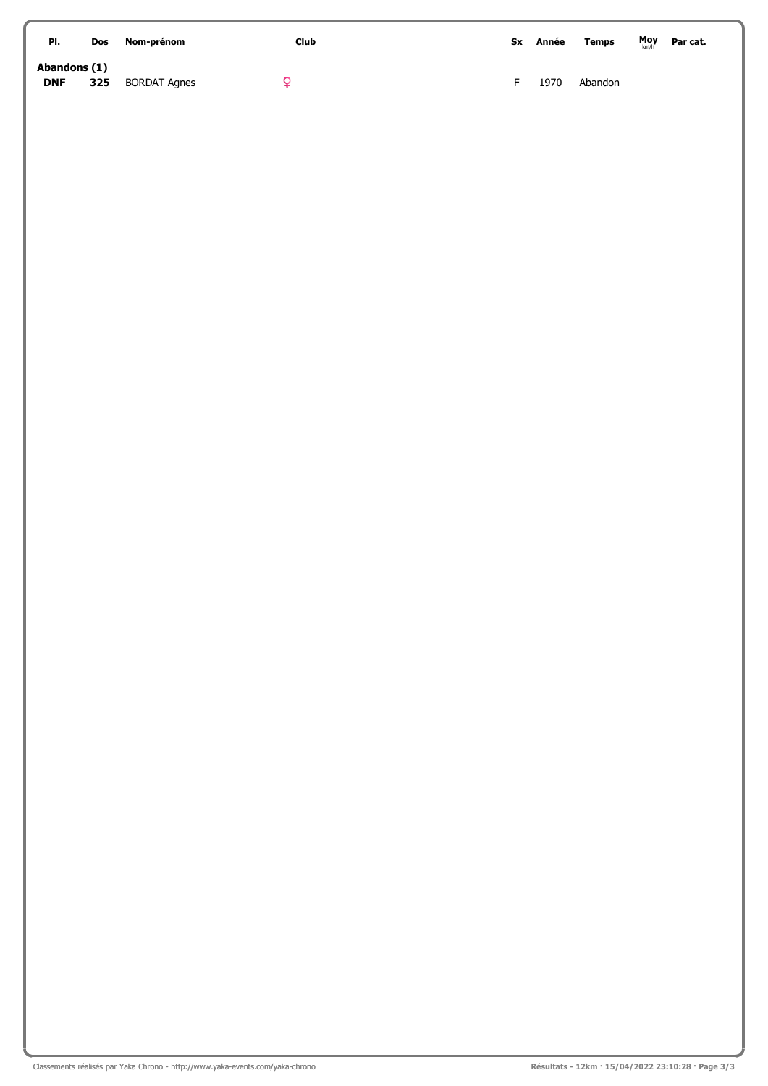| PI.                        | <b>Dos</b> | Nom-prénom          | Club | Sx | Année | <b>Temps</b> | Moy | Par cat. |
|----------------------------|------------|---------------------|------|----|-------|--------------|-----|----------|
| Abandons (1)<br><b>DNF</b> | 325        | <b>BORDAT Agnes</b> |      |    | 1970  | Abandon      |     |          |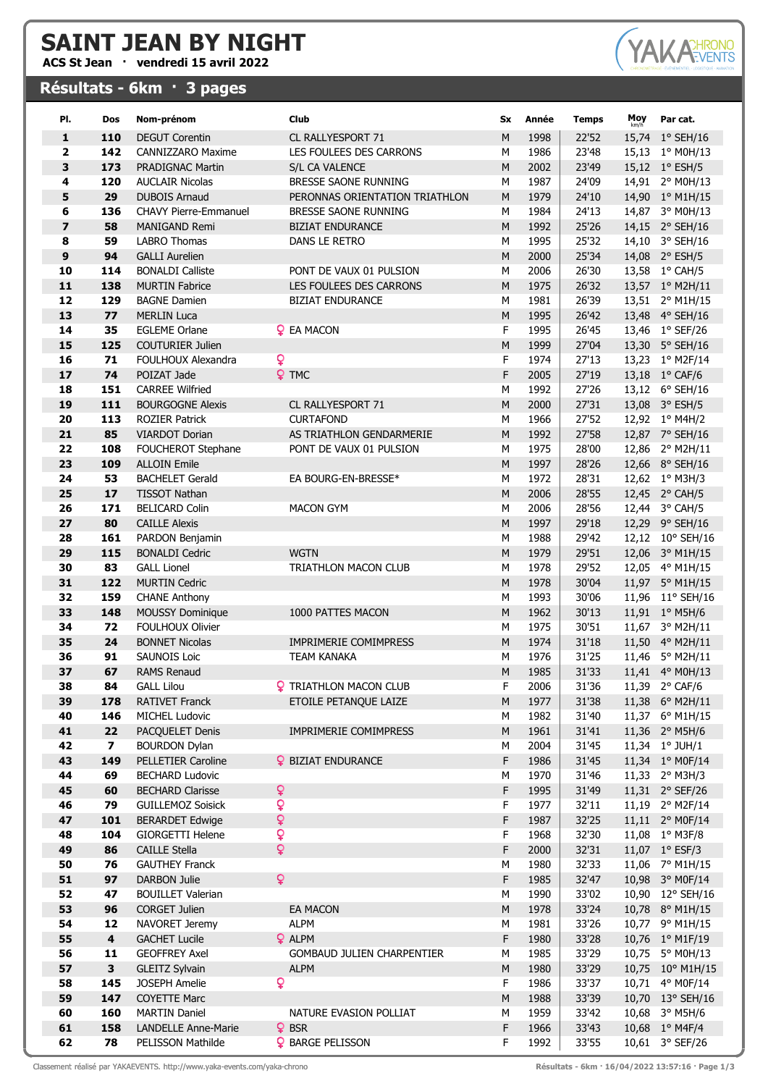## SAINT JEAN BY NIGHT

ACS St Jean · vendredi 15 avril 2022

## Résultats - 6km · 3 pages



| PI.                     | Dos                     | Nom-prénom                                           |   | Club                              | Sx        | Année        | <b>Temps</b>   | Moy   | Par cat.                           |
|-------------------------|-------------------------|------------------------------------------------------|---|-----------------------------------|-----------|--------------|----------------|-------|------------------------------------|
| 1                       | 110                     | <b>DEGUT Corentin</b>                                |   | CL RALLYESPORT 71                 | M         | 1998         | 22'52          |       | 15,74 1° SEH/16                    |
| $\mathbf{2}$            | 142                     | <b>CANNIZZARO Maxime</b>                             |   | LES FOULEES DES CARRONS           | M         | 1986         | 23'48          |       | 15,13 1° M0H/13                    |
| 3                       | 173                     | <b>PRADIGNAC Martin</b>                              |   | S/L CA VALENCE                    | ${\sf M}$ | 2002         | 23'49          |       | 15,12 1° ESH/5                     |
| $\overline{\mathbf{4}}$ | 120                     | <b>AUCLAIR Nicolas</b>                               |   | BRESSE SAONE RUNNING              | M         | 1987         | 24'09          |       | 14,91 2° M0H/13                    |
| 5                       | 29                      | <b>DUBOIS Arnaud</b>                                 |   | PERONNAS ORIENTATION TRIATHLON    | ${\sf M}$ | 1979         | 24'10          |       | 14,90 1° M1H/15                    |
| 6                       | 136                     | <b>CHAVY Pierre-Emmanuel</b>                         |   | BRESSE SAONE RUNNING              | M         | 1984         | 24'13          |       | 14,87 3° M0H/13                    |
| $\overline{\mathbf{z}}$ | 58                      | <b>MANIGAND Remi</b>                                 |   | <b>BIZIAT ENDURANCE</b>           | M         | 1992         | 25'26          |       | 14,15 2° SEH/16                    |
| 8                       | 59                      | <b>LABRO</b> Thomas                                  |   | DANS LE RETRO                     | M         | 1995         | 25'32          |       | 14,10 3° SEH/16                    |
| 9                       | 94                      | <b>GALLI Aurelien</b>                                |   |                                   | M         | 2000         | 25'34          |       | 14,08 2° ESH/5                     |
| 10                      | 114                     | <b>BONALDI Calliste</b>                              |   | PONT DE VAUX 01 PULSION           | M         | 2006         | 26'30          |       | 13,58 1° CAH/5                     |
| 11                      | 138                     | <b>MURTIN Fabrice</b>                                |   | LES FOULEES DES CARRONS           | M         | 1975         | 26'32          |       | 13,57 1° M2H/11                    |
| 12                      | 129                     | <b>BAGNE Damien</b>                                  |   | <b>BIZIAT ENDURANCE</b>           | M         | 1981         | 26'39          |       | 13,51 2° M1H/15                    |
| 13                      | 77                      | <b>MERLIN Luca</b>                                   |   |                                   | M         | 1995         | 26'42          |       | 13,48 4° SEH/16                    |
| 14                      | 35                      | <b>EGLEME Orlane</b>                                 |   | <b>Q</b> EA MACON                 | F<br>M    | 1995         | 26'45          |       | 13,46 1° SEF/26                    |
| 15<br>16                | 125<br>71               | <b>COUTURIER Julien</b><br><b>FOULHOUX Alexandra</b> | ò |                                   | F         | 1999<br>1974 | 27'04<br>27'13 |       | 13,30 5° SEH/16<br>13,23 1° M2F/14 |
| 17                      | 74                      | POIZAT Jade                                          |   | <b>Q</b> TMC                      | F         | 2005         | 27'19          |       | 13,18 1° CAF/6                     |
| 18                      | 151                     | <b>CARREE Wilfried</b>                               |   |                                   | M         | 1992         | 27'26          |       | 13,12 6° SEH/16                    |
| 19                      | 111                     | <b>BOURGOGNE Alexis</b>                              |   | CL RALLYESPORT 71                 | M         | 2000         | 27'31          |       | 13,08 3° ESH/5                     |
| 20                      | 113                     | <b>ROZIER Patrick</b>                                |   | <b>CURTAFOND</b>                  | M         | 1966         | 27'52          |       | 12,92 1° M4H/2                     |
| 21                      | 85                      | <b>VIARDOT Dorian</b>                                |   | AS TRIATHLON GENDARMERIE          | ${\sf M}$ | 1992         | 27'58          |       | 12,87 7° SEH/16                    |
| 22                      | 108                     | FOUCHEROT Stephane                                   |   | PONT DE VAUX 01 PULSION           | M         | 1975         | 28'00          |       | 12,86 2° M2H/11                    |
| 23                      | 109                     | <b>ALLOIN Emile</b>                                  |   |                                   | ${\sf M}$ | 1997         | 28'26          |       | 12,66 8° SEH/16                    |
| 24                      | 53                      | <b>BACHELET Gerald</b>                               |   | EA BOURG-EN-BRESSE*               | M         | 1972         | 28'31          |       | 12,62 1° M3H/3                     |
| 25                      | 17                      | <b>TISSOT Nathan</b>                                 |   |                                   | M         | 2006         | 28'55          |       | 12,45 2° CAH/5                     |
| 26                      | 171                     | <b>BELICARD Colin</b>                                |   | <b>MACON GYM</b>                  | M         | 2006         | 28'56          |       | 12,44 3° CAH/5                     |
| 27                      | 80                      | <b>CAILLE Alexis</b>                                 |   |                                   | ${\sf M}$ | 1997         | 29'18          |       | 12,29 9° SEH/16                    |
| 28                      | 161                     | PARDON Benjamin                                      |   |                                   | M         | 1988         | 29'42          |       | 12,12 10° SEH/16                   |
| 29                      | 115                     | <b>BONALDI Cedric</b>                                |   | <b>WGTN</b>                       | M         | 1979         | 29'51          |       | 12,06 3° M1H/15                    |
| 30                      | 83                      | <b>GALL Lionel</b>                                   |   | TRIATHLON MACON CLUB              | M         | 1978         | 29'52          |       | 12,05 4° M1H/15                    |
| 31                      | 122                     | <b>MURTIN Cedric</b>                                 |   |                                   | M         | 1978         | 30'04          |       | 11,97 5° M1H/15                    |
| 32                      | 159                     | <b>CHANE Anthony</b>                                 |   |                                   | M         | 1993         | 30'06          |       | 11,96 11° SEH/16                   |
| 33<br>34                | 148<br>72               | <b>MOUSSY Dominique</b><br><b>FOULHOUX Olivier</b>   |   | 1000 PATTES MACON                 | M<br>М    | 1962<br>1975 | 30'13<br>30'51 |       | 11,91 1° M5H/6<br>11,67 3° M2H/11  |
| 35                      | 24                      | <b>BONNET Nicolas</b>                                |   | IMPRIMERIE COMIMPRESS             | ${\sf M}$ | 1974         | 31'18          |       | 11,50 4° M2H/11                    |
| 36                      | 91                      | <b>SAUNOIS Loic</b>                                  |   | <b>TEAM KANAKA</b>                | M         | 1976         | 31'25          |       | 11,46 5° M2H/11                    |
| 37                      | 67                      | <b>RAMS Renaud</b>                                   |   |                                   | M         | 1985         | 31'33          |       | 11,41 4° M0H/13                    |
| 38                      | 84                      | GALL Lilou                                           |   | <b>?</b> TRIATHLON MACON CLUB     | F         | 2006         | 31'36          |       | 11,39 $2^{\circ}$ CAF/6            |
| 39                      | 178                     | <b>RATIVET Franck</b>                                |   | ETOILE PETANQUE LAIZE             | M         | 1977         | 31'38          |       | 11,38 6° M2H/11                    |
| 40                      | 146                     | <b>MICHEL Ludovic</b>                                |   |                                   | M         | 1982         | 31'40          |       | 11,37 6° M1H/15                    |
| 41                      | 22                      | PACQUELET Denis                                      |   | IMPRIMERIE COMIMPRESS             | ${\sf M}$ | 1961         | 31'41          |       | 11,36 2° M5H/6                     |
| 42                      | $\overline{\mathbf{z}}$ | <b>BOURDON Dylan</b>                                 |   |                                   | M         | 2004         | 31'45          |       | 11,34 1° JUH/1                     |
| 43                      | 149                     | <b>PELLETIER Caroline</b>                            |   | <b>Q</b> BIZIAT ENDURANCE         | F         | 1986         | 31'45          |       | 11,34 1° M0F/14                    |
| 44                      | 69                      | <b>BECHARD Ludovic</b>                               |   |                                   | M         | 1970         | 31'46          |       | 11,33 2° M3H/3                     |
| 45                      | 60                      | <b>BECHARD Clarisse</b>                              | ¥ |                                   | F         | 1995         | 31'49          |       | 11,31 2° SEF/26                    |
| 46                      | 79                      | <b>GUILLEMOZ Soisick</b>                             | Q |                                   | F         | 1977         | 32'11          |       | 11,19 2° M2F/14                    |
| 47                      | 101                     | <b>BERARDET Edwige</b>                               | ¥ |                                   | F         | 1987         | 32'25          |       | 11,11 2° MOF/14                    |
| 48                      | 104                     | <b>GIORGETTI Helene</b>                              | Q |                                   | F         | 1968         | 32'30          |       | 11,08 1° M3F/8                     |
| 49                      | 86                      | <b>CAILLE Stella</b>                                 | ò |                                   | F         | 2000         | 32'31          |       | 11,07 1° ESF/3                     |
| 50<br>51                | 76<br>97                | <b>GAUTHEY Franck</b><br><b>DARBON Julie</b>         | ò |                                   | M<br>F    | 1980<br>1985 | 32'33<br>32'47 |       | 11,06 7° M1H/15<br>10,98 3° M0F/14 |
| 52                      | 47                      | <b>BOUILLET Valerian</b>                             |   |                                   | M         | 1990         | 33'02          |       | 10,90 12° SEH/16                   |
| 53                      | 96                      | <b>CORGET Julien</b>                                 |   | <b>EA MACON</b>                   | ${\sf M}$ | 1978         | 33'24          |       | 10,78 8° M1H/15                    |
| 54                      | 12                      | NAVORET Jeremy                                       |   | <b>ALPM</b>                       | M         | 1981         | 33'26          |       | 10,77 9° M1H/15                    |
| 55                      | $\overline{\mathbf{4}}$ | <b>GACHET Lucile</b>                                 |   | <b>Q</b> ALPM                     | F         | 1980         | 33'28          |       | 10,76 1° M1F/19                    |
| 56                      | 11                      | <b>GEOFFREY Axel</b>                                 |   | <b>GOMBAUD JULIEN CHARPENTIER</b> | M         | 1985         | 33'29          |       | 10,75 5° M0H/13                    |
| 57                      | 3                       | <b>GLEITZ Sylvain</b>                                |   | <b>ALPM</b>                       | M         | 1980         | 33'29          |       | 10,75 10° M1H/15                   |
| 58                      | 145                     | <b>JOSEPH Amelie</b>                                 | Q |                                   | F         | 1986         | 33'37          | 10,71 | 4° M0F/14                          |
| 59                      | 147                     | <b>COYETTE Marc</b>                                  |   |                                   | ${\sf M}$ | 1988         | 33'39          |       | 10,70 13° SEH/16                   |
| 60                      | 160                     | <b>MARTIN Daniel</b>                                 |   | NATURE EVASION POLLIAT            | M         | 1959         | 33'42          |       | 10,68 3° M5H/6                     |
| 61                      | 158                     | <b>LANDELLE Anne-Marie</b>                           |   | $Q$ BSR                           | F         | 1966         | 33'43          |       | 10,68 1° M4F/4                     |
| 62                      | 78                      | PELISSON Mathilde                                    |   | <b>Q</b> BARGE PELISSON           | F         | 1992         | 33'55          |       | 10,61 3° SEF/26                    |

Classement réalisé par YAKAEVENTS. http://www.yaka-events.com/yaka-chrono Résultats - 6km · 16/04/2022 13:57:16 · Page 1/3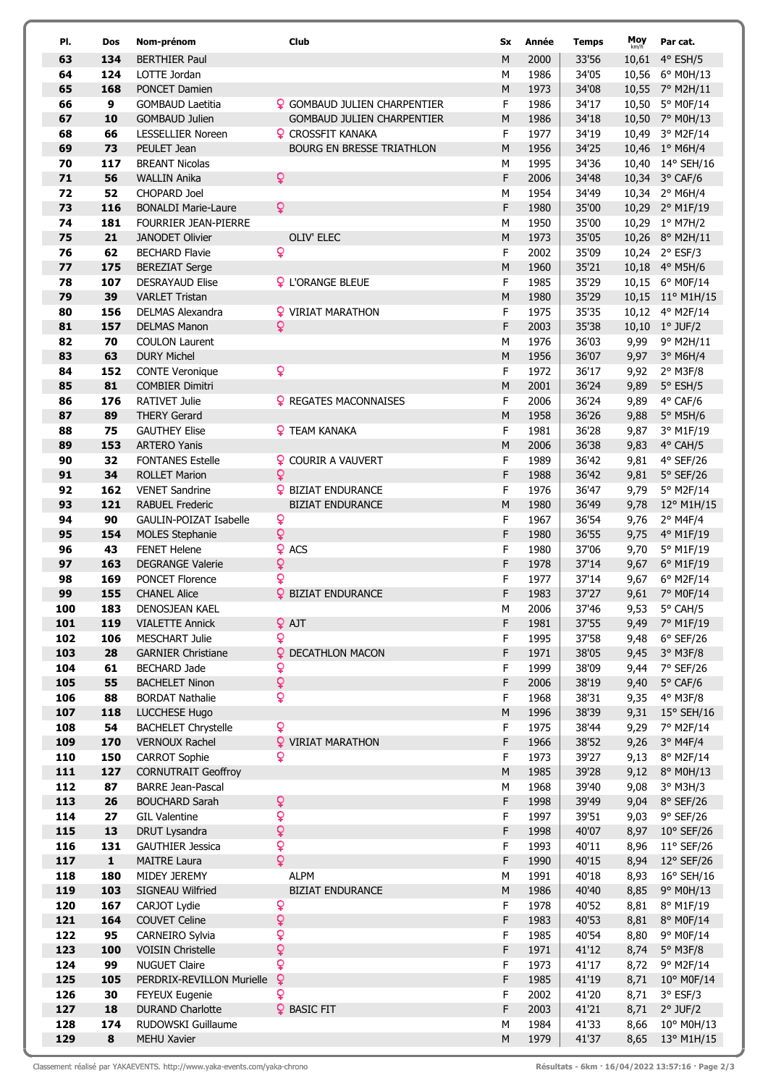| PI.        | Dos       | Nom-prénom                                       | Club                                                 | Sx        | Année        | <b>Temps</b>   | Moy<br>km/h  | Par cat.                 |
|------------|-----------|--------------------------------------------------|------------------------------------------------------|-----------|--------------|----------------|--------------|--------------------------|
| 63         | 134       | <b>BERTHIER Paul</b>                             |                                                      | M         | 2000         | 33'56          |              | 10,61 4° ESH/5           |
| 64         | 124       | LOTTE Jordan                                     |                                                      | M         | 1986         | 34'05          |              | 10,56 6° M0H/13          |
| 65         | 168       | PONCET Damien                                    |                                                      | ${\sf M}$ | 1973         | 34'08          |              | 10,55 7° M2H/11          |
| 66         | 9         | <b>GOMBAUD Laetitia</b>                          | <b>Q</b> GOMBAUD JULIEN CHARPENTIER                  | F         | 1986         | 34'17          |              | 10,50 5° M0F/14          |
| 67         | 10        | <b>GOMBAUD Julien</b>                            | <b>GOMBAUD JULIEN CHARPENTIER</b>                    | M         | 1986         | 34'18          |              | 10,50 7° M0H/13          |
| 68         | 66        | <b>LESSELLIER Noreen</b>                         | <b>Q</b> CROSSFIT KANAKA                             | F         | 1977         | 34'19          |              | 10,49 3° M2F/14          |
| 69         | 73        | PEULET Jean                                      | <b>BOURG EN BRESSE TRIATHLON</b>                     | M         | 1956         | 34'25          |              | 10,46 1° M6H/4           |
| 70         | 117       | <b>BREANT Nicolas</b>                            |                                                      | M         | 1995         | 34'36          |              | 10,40 14° SEH/16         |
| 71         | 56        | <b>WALLIN Anika</b>                              | $\mathsf{Q}$                                         | F         | 2006         | 34'48          |              | 10,34 3° CAF/6           |
| 72         | 52        | CHOPARD Joel                                     |                                                      | M         | 1954         | 34'49          |              | 10,34 2° M6H/4           |
| 73         | 116       | <b>BONALDI Marie-Laure</b>                       | $\mathsf{Q}$                                         | F         | 1980         | 35'00          |              | 10,29 2° M1F/19          |
| 74         | 181       | <b>FOURRIER JEAN-PIERRE</b>                      |                                                      | M         | 1950         | 35'00          |              | 10,29 1° M7H/2           |
| 75         | 21        | <b>JANODET Olivier</b>                           | OLIV' ELEC                                           | M         | 1973         | 35'05          |              | 10,26 8° M2H/11          |
| 76         | 62        | <b>BECHARD Flavie</b>                            | $\mathsf{Q}$                                         | F         | 2002         | 35'09          |              | 10,24 2° ESF/3           |
| 77         | 175       | <b>BEREZIAT Serge</b>                            |                                                      | M         | 1960         | 35'21          |              | 10,18 4° M5H/6           |
| 78         | 107       | <b>DESRAYAUD Elise</b>                           | <b>Q</b> L'ORANGE BLEUE                              | F         | 1985         | 35'29          |              | 10,15 6° M0F/14          |
| 79         | 39        | <b>VARLET Tristan</b>                            |                                                      | M         | 1980         | 35'29          |              | 10,15 11° M1H/15         |
| 80         | 156       | <b>DELMAS Alexandra</b>                          | <b>Q</b> VIRIAT MARATHON                             | F         | 1975         | 35'35          |              | 10,12 4° M2F/14          |
| 81         | 157       | <b>DELMAS Manon</b>                              | $\mathsf{Q}$                                         | F         | 2003         | 35'38          |              | 10,10 1° JUF/2           |
| 82         | 70        | <b>COULON Laurent</b>                            |                                                      | M         | 1976         | 36'03          | 9,99         | 9° M2H/11                |
| 83         | 63        | <b>DURY Michel</b>                               |                                                      | M         | 1956         | 36'07          | 9,97         | 3° M6H/4                 |
| 84         | 152       | <b>CONTE Veronique</b>                           | $\mathsf{Q}$                                         | F         | 1972         | 36'17          | 9,92         | $2^{\circ}$ M3F/8        |
| 85         | 81        | <b>COMBIER Dimitri</b>                           |                                                      | M         | 2001         | 36'24          | 9,89         | $5^\circ$ ESH/5          |
| 86         | 176       | <b>RATIVET Julie</b>                             | <b>Q</b> REGATES MACONNAISES                         | F         | 2006         | 36'24          | 9,89         | $4^{\circ}$ CAF/6        |
| 87         | 89        | <b>THERY Gerard</b>                              |                                                      | M         | 1958         | 36'26          | 9,88         | 5° M5H/6                 |
| 88         | 75        | <b>GAUTHEY Elise</b>                             | <b>Q</b> TEAM KANAKA                                 | F         | 1981         | 36'28          | 9,87         | 3° M1F/19                |
| 89         | 153       | <b>ARTERO Yanis</b>                              |                                                      | M         | 2006         | 36'38          | 9,83         | 4° CAH/5                 |
| 90         | 32<br>34  | <b>FONTANES Estelle</b>                          | <b>Q</b> COURIR A VAUVERT<br>$\mathsf{Q}$            | F         | 1989         | 36'42          | 9,81         | $4°$ SEF/26              |
| 91         | 162       | <b>ROLLET Marion</b>                             |                                                      | F         | 1988         | 36'42          | 9,81         | $5^\circ$ SEF/26         |
| 92<br>93   | 121       | <b>VENET Sandrine</b><br><b>RABUEL Frederic</b>  | <b>Q</b> BIZIAT ENDURANCE<br><b>BIZIAT ENDURANCE</b> | F<br>M    | 1976<br>1980 | 36'47<br>36'49 | 9,79<br>9,78 | 5° M2F/14<br>12° M1H/15  |
| 94         | 90        | <b>GAULIN-POIZAT Isabelle</b>                    | $\mathsf{Q}$                                         | F         | 1967         | 36'54          | 9,76         | $2°$ M4F/4               |
| 95         | 154       | <b>MOLES Stephanie</b>                           | $\mathsf Q$                                          | F         | 1980         | 36'55          | 9,75         | 4° M1F/19                |
| 96         | 43        | <b>FENET Helene</b>                              | <b>Q</b> ACS                                         | F         | 1980         | 37'06          | 9,70         | 5° M1F/19                |
| 97         | 163       | <b>DEGRANGE Valerie</b>                          | Q                                                    | F         | 1978         | 37'14          | 9,67         | 6° M1F/19                |
| 98         | 169       | <b>PONCET Florence</b>                           | Q                                                    | F         | 1977         | 37'14          | 9,67         | 6° M2F/14                |
| 99         | 155       | <b>CHANEL Alice</b>                              | <b>Q</b> BIZIAT ENDURANCE                            | F         | 1983         | 37'27          | 9,61         | 7° M0F/14                |
| 100        | 183       | DENOSJEAN KAEL                                   |                                                      | M         | 2006         | 37'46          | 9,53         | 5° CAH/5                 |
| 101        | 119       | <b>VIALETTE Annick</b>                           | <b>Q</b> AJT                                         | F         | 1981         | 37'55          | 9,49         | 7° M1F/19                |
| 102        | 106       | <b>MESCHART Julie</b>                            | Q                                                    | F         | 1995         | 37'58          | 9,48         | $6°$ SEF/26              |
| 103        | 28        | <b>GARNIER Christiane</b>                        | <b>Q</b> DECATHLON MACON                             | F         | 1971         | 38'05          | 9,45         | 3° M3F/8                 |
| 104        | 61        | <b>BECHARD Jade</b>                              | ç                                                    | F         | 1999         | 38'09          | 9,44         | 7° SEF/26                |
| 105        | 55        | <b>BACHELET Ninon</b>                            | $\mathsf Q$                                          | F         | 2006         | 38'19          | 9,40         | $5^{\circ}$ CAF/6        |
| 106        | 88        | <b>BORDAT Nathalie</b>                           | Q                                                    | F         | 1968         | 38'31          | 9,35         | 4° M3F/8                 |
| 107        | 118       | LUCCHESE Hugo                                    |                                                      | M         | 1996         | 38'39          | 9,31         | $15^{\circ}$ SEH/16      |
| 108        | 54        | <b>BACHELET Chrystelle</b>                       | $\mathsf{Q}$                                         | F         | 1975         | 38'44          | 9,29         | 7° M2F/14                |
| 109        | 170       | <b>VERNOUX Rachel</b>                            | <b>Q</b> VIRIAT MARATHON                             | F         | 1966         | 38'52          | 9,26         | $3°$ M4F/4               |
| 110        | 150       | <b>CARROT Sophie</b>                             | ò                                                    | F         | 1973         | 39'27          | 9,13         | 8° M2F/14                |
| 111        | 127       | <b>CORNUTRAIT Geoffroy</b>                       |                                                      | M         | 1985         | 39'28          | 9,12         | 8° M0H/13                |
| 112        | 87        | <b>BARRE Jean-Pascal</b>                         |                                                      | M         | 1968         | 39'40          | 9,08         | 3° M3H/3                 |
| 113        | 26        | <b>BOUCHARD Sarah</b>                            | $\mathsf Q$                                          | F         | 1998         | 39'49          | 9,04         | $8°$ SEF/26              |
| 114        | 27        | <b>GIL Valentine</b>                             | Q                                                    | F         | 1997         | 39'51          | 9,03         | 9° SEF/26                |
| 115        | 13        | DRUT Lysandra                                    | $\mathsf Q$                                          | F         | 1998         | 40'07          | 8,97         | $10^{\circ}$ SEF/26      |
| 116        | 131       | <b>GAUTHIER Jessica</b>                          | Q                                                    | F         | 1993         | 40'11          | 8,96         | $11^{\circ}$ SEF/26      |
| 117        | ${\bf 1}$ | <b>MAITRE Laura</b>                              | Q                                                    | F         | 1990         | 40'15          | 8,94         | $12^{\circ}$ SEF/26      |
| 118        | 180       | MIDEY JEREMY                                     | <b>ALPM</b>                                          | M         | 1991         | 40'18          | 8,93         | 16° SEH/16               |
| 119        | 103       | SIGNEAU Wilfried                                 | <b>BIZIAT ENDURANCE</b>                              | M         | 1986         | 40'40          | 8,85         | 9° M0H/13                |
| 120        | 167       | CARJOT Lydie                                     | Q                                                    | F         | 1978         | 40'52          | 8,81         | 8° M1F/19                |
| 121        | 164       | <b>COUVET Celine</b>                             | $\mathsf{Q}$                                         | F         | 1983         | 40'53          | 8,81         | 8° M0F/14                |
| 122        | 95        | CARNEIRO Sylvia                                  | Q                                                    | F         | 1985         | 40'54          | 8,80         | 9° M0F/14                |
| 123        | 100       | <b>VOISIN Christelle</b>                         | ç                                                    | F         | 1971         | 41'12          | 8,74         | 5° M3F/8                 |
| 124        | 99        | <b>NUGUET Claire</b>                             | ò                                                    | F         | 1973         | 41'17          | 8,72         | 9° M2F/14                |
| 125        | 105       | PERDRIX-REVILLON Murielle                        | $\mathsf{Q}$                                         | F         | 1985         | 41'19          | 8,71         | $10^{\circ}$ M0F/14      |
| 126        | 30<br>18  | <b>FEYEUX Eugenie</b><br><b>DURAND Charlotte</b> | Q<br><b>Q</b> BASIC FIT                              | F<br>F    | 2002<br>2003 | 41'20<br>41'21 | 8,71<br>8,71 | 3° ESF/3                 |
| 127<br>128 | 174       | RUDOWSKI Guillaume                               |                                                      | M         | 1984         | 41'33          | 8,66         | $2°$ JUF/2<br>10° M0H/13 |
| 129        | 8         | MEHU Xavier                                      |                                                      | M         | 1979         | 41'37          | 8,65         | 13° M1H/15               |
|            |           |                                                  |                                                      |           |              |                |              |                          |